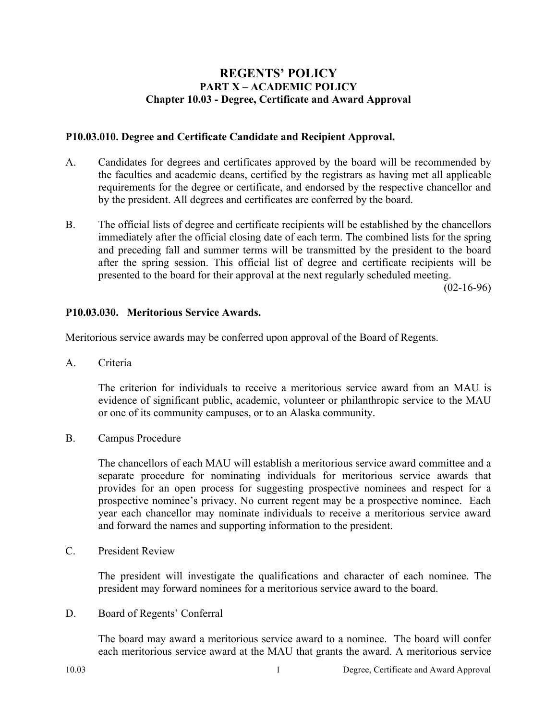# **REGENTS' POLICY PART X – ACADEMIC POLICY Chapter 10.03 - Degree, Certificate and Award Approval**

#### **P10.03.010. Degree and Certificate Candidate and Recipient Approval.**

- A. Candidates for degrees and certificates approved by the board will be recommended by the faculties and academic deans, certified by the registrars as having met all applicable requirements for the degree or certificate, and endorsed by the respective chancellor and by the president. All degrees and certificates are conferred by the board.
- B. The official lists of degree and certificate recipients will be established by the chancellors immediately after the official closing date of each term. The combined lists for the spring and preceding fall and summer terms will be transmitted by the president to the board after the spring session. This official list of degree and certificate recipients will be presented to the board for their approval at the next regularly scheduled meeting.

(02-16-96)

### **P10.03.030. Meritorious Service Awards.**

Meritorious service awards may be conferred upon approval of the Board of Regents.

A. Criteria

The criterion for individuals to receive a meritorious service award from an MAU is evidence of significant public, academic, volunteer or philanthropic service to the MAU or one of its community campuses, or to an Alaska community.

B. Campus Procedure

The chancellors of each MAU will establish a meritorious service award committee and a separate procedure for nominating individuals for meritorious service awards that provides for an open process for suggesting prospective nominees and respect for a prospective nominee's privacy. No current regent may be a prospective nominee. Each year each chancellor may nominate individuals to receive a meritorious service award and forward the names and supporting information to the president.

C. President Review

The president will investigate the qualifications and character of each nominee. The president may forward nominees for a meritorious service award to the board.

D. Board of Regents' Conferral

The board may award a meritorious service award to a nominee. The board will confer each meritorious service award at the MAU that grants the award. A meritorious service